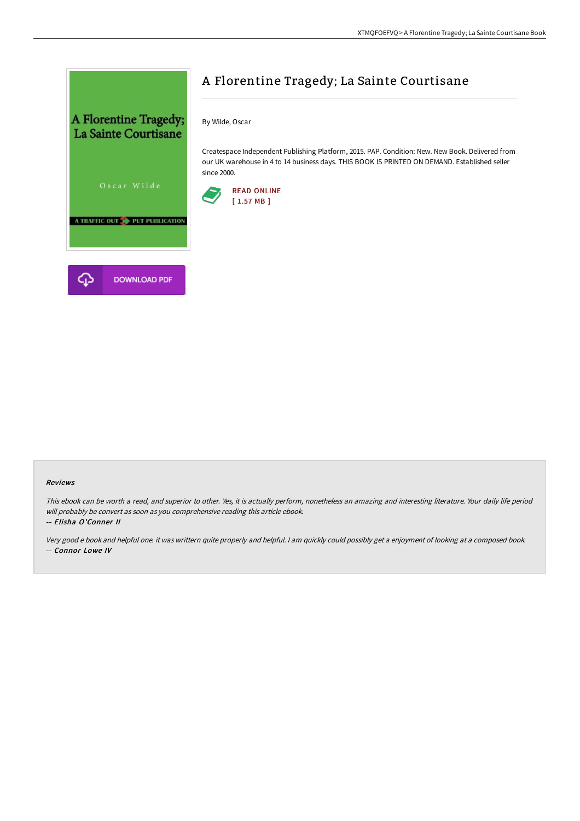

# A Florentine Tragedy; La Sainte Courtisane

By Wilde, Oscar

Createspace Independent Publishing Platform, 2015. PAP. Condition: New. New Book. Delivered from our UK warehouse in 4 to 14 business days. THIS BOOK IS PRINTED ON DEMAND. Established seller since 2000.



#### Reviews

This ebook can be worth <sup>a</sup> read, and superior to other. Yes, it is actually perform, nonetheless an amazing and interesting literature. Your daily life period will probably be convert as soon as you comprehensive reading this article ebook.

#### -- Elisha O'Conner II

Very good <sup>e</sup> book and helpful one. it was writtern quite properly and helpful. <sup>I</sup> am quickly could possibly get <sup>a</sup> enjoyment of looking at <sup>a</sup> composed book. -- Connor Lowe IV